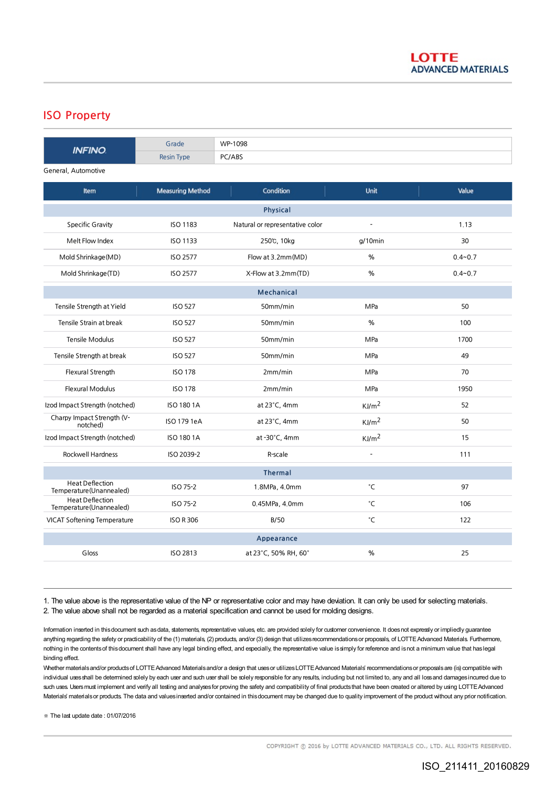## ISO Property

| <b>INFINO</b>                                      | Grade                   | WP-1098                         |                   |             |
|----------------------------------------------------|-------------------------|---------------------------------|-------------------|-------------|
|                                                    | <b>Resin Type</b>       | PC/ABS                          |                   |             |
| General, Automotive                                |                         |                                 |                   |             |
| Item                                               | <b>Measuring Method</b> | Condition                       | Unit              | Value       |
| Physical                                           |                         |                                 |                   |             |
| <b>Specific Gravity</b>                            | ISO 1183                | Natural or representative color | ÷,                | 1.13        |
| Melt Flow Index                                    | <b>ISO 1133</b>         | 250℃, 10kg                      | $q/10$ min        | 30          |
| Mold Shrinkage (MD)                                | <b>ISO 2577</b>         | Flow at 3.2mm(MD)               | %                 | $0.4 - 0.7$ |
| Mold Shrinkage(TD)                                 | <b>ISO 2577</b>         | X-Flow at 3.2mm(TD)             | %                 | $0.4 - 0.7$ |
| <b>Mechanical</b>                                  |                         |                                 |                   |             |
| Tensile Strength at Yield                          | <b>ISO 527</b>          | 50mm/min                        | MPa               | 50          |
| Tensile Strain at break                            | <b>ISO 527</b>          | 50mm/min                        | %                 | 100         |
| <b>Tensile Modulus</b>                             | <b>ISO 527</b>          | 50mm/min                        | MPa               | 1700        |
| Tensile Strength at break                          | <b>ISO 527</b>          | 50mm/min                        | MPa               | 49          |
| Flexural Strength                                  | <b>ISO 178</b>          | 2mm/min                         | MPa               | 70          |
| <b>Flexural Modulus</b>                            | <b>ISO 178</b>          | 2mm/min                         | MPa               | 1950        |
| Izod Impact Strength (notched)                     | <b>ISO 180 1A</b>       | at $23^{\circ}$ C, 4mm          | KJ/m <sup>2</sup> | 52          |
| Charpy Impact Strength (V-<br>notched)             | ISO 179 1eA             | at $23^{\circ}$ C, 4mm          | KJ/m <sup>2</sup> | 50          |
| Izod Impact Strength (notched)                     | <b>ISO 180 1A</b>       | at -30°C, 4mm                   | KJ/m <sup>2</sup> | 15          |
| <b>Rockwell Hardness</b>                           | ISO 2039-2              | R-scale                         | $\overline{a}$    | 111         |
| <b>Thermal</b>                                     |                         |                                 |                   |             |
| <b>Heat Deflection</b><br>Temperature (Unannealed) | ISO 75-2                | 1.8MPa, 4.0mm                   | °C                | 97          |
| <b>Heat Deflection</b><br>Temperature (Unannealed) | ISO 75-2                | 0.45MPa, 4.0mm                  | °С                | 106         |
| <b>VICAT Softening Temperature</b>                 | <b>ISO R 306</b>        | <b>B/50</b>                     | °C                | 122         |
|                                                    |                         | Appearance                      |                   |             |
| Gloss                                              | <b>ISO 2813</b>         | at 23°C, 50% RH, 60°            | %                 | 25          |

1. The value above is the representative value of the NP or representative color and may have deviation. It can only be used for selecting materials. 2. The value above shall not be regarded as a material specification and cannot be used for molding designs.

Information inserted in this document such as data, statements, representative values, etc. are provided solely for customer convenience. It does not expressly or impliedly guarantee anything regarding the safety or practicability of the (1) materials, (2) products, and/or (3) design that utilizes recommendations or proposals, of LOTTE Advanced Materials. Furthermore, nothing in the contentsof thisdocument shall have any legal binding effect, and especially, the representative value issimply for reference and isnot a minimum value that haslegal binding effect.

Whether materials and/or products of LOTTE Advanced Materials and/or a design that uses or utilizes LOTTE Advanced Materials' recommendations or proposals are (is) compatible with individual uses shall be determined solely by each user and such user shall be solely responsible for any results, including but not limited to, any and all loss and damages incurred due to such uses. Users must implement and verify all testing and analyses for proving the safety and compatibility of final products that have been created or altered by using LOTTE Advanced Materials' materials or products. The data and values inserted and/or contained in this document may be changed due to quality improvement of the product without any prior notification.

※ The last update date : 01/07/2016